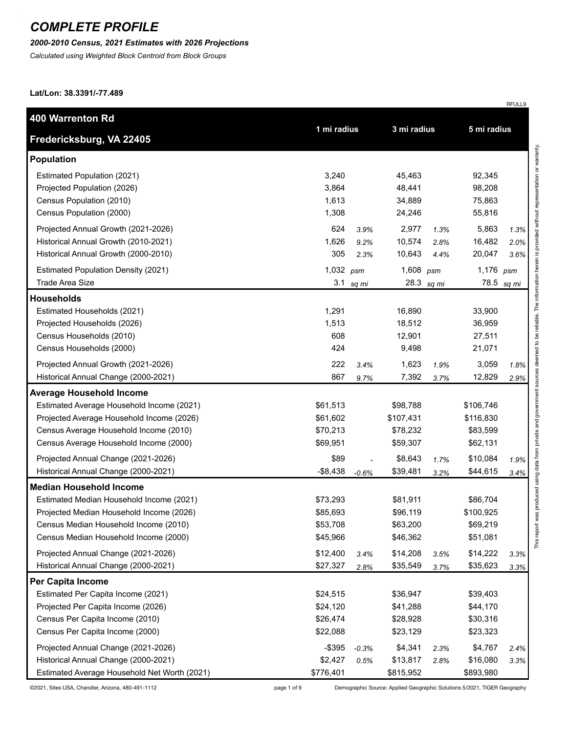#### *2000-2010 Census, 2021 Estimates with 2026 Projections*

*Calculated using Weighted Block Centroid from Block Groups*

**Lat/Lon: 38.3391/-77.489**

| 400 Warrenton Rd                             |             |         |             |            |             |         |
|----------------------------------------------|-------------|---------|-------------|------------|-------------|---------|
| Fredericksburg, VA 22405                     | 1 mi radius |         | 3 mi radius |            | 5 mi radius |         |
| <b>Population</b>                            |             |         |             |            |             |         |
| Estimated Population (2021)                  | 3,240       |         | 45,463      |            | 92,345      |         |
| Projected Population (2026)                  | 3,864       |         | 48,441      |            | 98,208      |         |
| Census Population (2010)                     | 1,613       |         | 34,889      |            | 75,863      |         |
| Census Population (2000)                     | 1,308       |         | 24,246      |            | 55,816      |         |
| Projected Annual Growth (2021-2026)          | 624         | 3.9%    | 2,977       | 1.3%       | 5,863       | 1.3%    |
| Historical Annual Growth (2010-2021)         | 1,626       | 9.2%    | 10,574      | 2.8%       | 16,482      | 2.0%    |
| Historical Annual Growth (2000-2010)         | 305         | 2.3%    | 10,643      | 4.4%       | 20,047      | 3.6%    |
| <b>Estimated Population Density (2021)</b>   | 1,032 $psm$ |         | 1,608       | psm        | 1,176       | psm     |
| <b>Trade Area Size</b>                       | 3.1         | sq mi   |             | 28.3 sq mi | 78.5        | sq mi   |
| <b>Households</b>                            |             |         |             |            |             |         |
| Estimated Households (2021)                  | 1,291       |         | 16,890      |            | 33,900      |         |
| Projected Households (2026)                  | 1,513       |         | 18,512      |            | 36,959      |         |
| Census Households (2010)                     | 608         |         | 12,901      |            | 27,511      |         |
| Census Households (2000)                     | 424         |         | 9,498       |            | 21,071      |         |
| Projected Annual Growth (2021-2026)          | 222         | 3.4%    | 1,623       | 1.9%       | 3,059       | 1.8%    |
| Historical Annual Change (2000-2021)         | 867         | 9.7%    | 7,392       | 3.7%       | 12,829      | 2.9%    |
| <b>Average Household Income</b>              |             |         |             |            |             |         |
| Estimated Average Household Income (2021)    | \$61,513    |         | \$98,788    |            | \$106,746   |         |
| Projected Average Household Income (2026)    | \$61,602    |         | \$107,431   |            | \$116,830   |         |
| Census Average Household Income (2010)       | \$70,213    |         | \$78,232    |            | \$83,599    |         |
| Census Average Household Income (2000)       | \$69,951    |         | \$59,307    |            | \$62,131    |         |
| Projected Annual Change (2021-2026)          | \$89        |         | \$8,643     | 1.7%       | \$10,084    | 1.9%    |
| Historical Annual Change (2000-2021)         | $-$ \$8,438 | $-0.6%$ | \$39,481    | 3.2%       | \$44,615    | $3.4\%$ |
| <b>Median Household Income</b>               |             |         |             |            |             |         |
| Estimated Median Household Income (2021)     | \$73,293    |         | \$81,911    |            | \$86,704    |         |
| Projected Median Household Income (2026)     | \$85,693    |         | \$96,119    |            | \$100,925   |         |
| Census Median Household Income (2010)        | \$53,708    |         | \$63,200    |            | \$69,219    |         |
| Census Median Household Income (2000)        | \$45,966    |         | \$46,362    |            | \$51,081    |         |
| Projected Annual Change (2021-2026)          | \$12,400    | 3.4%    | \$14,208    | 3.5%       | \$14,222    | 3.3%    |
| Historical Annual Change (2000-2021)         | \$27,327    | 2.8%    | \$35,549    | 3.7%       | \$35,623    | 3.3%    |
| Per Capita Income                            |             |         |             |            |             |         |
| Estimated Per Capita Income (2021)           | \$24,515    |         | \$36,947    |            | \$39,403    |         |
| Projected Per Capita Income (2026)           | \$24,120    |         | \$41,288    |            | \$44,170    |         |
| Census Per Capita Income (2010)              | \$26,474    |         | \$28,928    |            | \$30,316    |         |
| Census Per Capita Income (2000)              | \$22,088    |         | \$23,129    |            | \$23,323    |         |
| Projected Annual Change (2021-2026)          | $-$ \$395   | $-0.3%$ | \$4,341     | 2.3%       | \$4,767     | 2.4%    |
| Historical Annual Change (2000-2021)         | \$2,427     | 0.5%    | \$13,817    | 2.8%       | \$16,080    | 3.3%    |
| Estimated Average Household Net Worth (2021) | \$776,401   |         | \$815,952   |            | \$893,980   |         |

©2021, Sites USA, Chandler, Arizona, 480-491-1112 page 1 of 9 Demographic Source: Applied Geographic Solutions 5/2021, TIGER Geography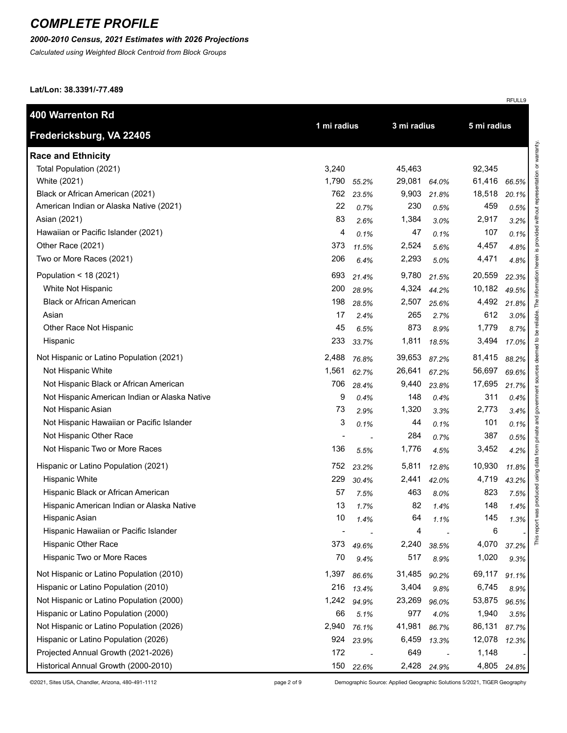### *2000-2010 Census, 2021 Estimates with 2026 Projections*

*Calculated using Weighted Block Centroid from Block Groups*

**Lat/Lon: 38.3391/-77.489**

| 400 Warrenton Rd                              |                |             |        | 3 mi radius |        |       |
|-----------------------------------------------|----------------|-------------|--------|-------------|--------|-------|
| Fredericksburg, VA 22405                      |                | 1 mi radius |        | 5 mi radius |        |       |
| <b>Race and Ethnicity</b>                     |                |             |        |             |        |       |
| Total Population (2021)                       | 3,240          |             | 45,463 |             | 92,345 |       |
| White (2021)                                  | 1,790          | 55.2%       | 29,081 | 64.0%       | 61,416 | 66.5% |
| Black or African American (2021)              | 762            | 23.5%       | 9,903  | 21.8%       | 18,518 | 20.1% |
| American Indian or Alaska Native (2021)       | 22             | 0.7%        | 230    | 0.5%        | 459    | 0.5%  |
| Asian (2021)                                  | 83             | 2.6%        | 1,384  | 3.0%        | 2,917  | 3.2%  |
| Hawaiian or Pacific Islander (2021)           | 4              | 0.1%        | 47     | 0.1%        | 107    | 0.1%  |
| Other Race (2021)                             | 373            | 11.5%       | 2,524  | 5.6%        | 4,457  | 4.8%  |
| Two or More Races (2021)                      | 206            | 6.4%        | 2,293  | 5.0%        | 4,471  | 4.8%  |
| Population < 18 (2021)                        | 693            | 21.4%       | 9,780  | 21.5%       | 20,559 | 22.3% |
| White Not Hispanic                            | 200            | 28.9%       | 4,324  | 44.2%       | 10,182 | 49.5% |
| <b>Black or African American</b>              | 198            | 28.5%       | 2,507  | 25.6%       | 4,492  | 21.8% |
| Asian                                         | 17             | 2.4%        | 265    | 2.7%        | 612    | 3.0%  |
| Other Race Not Hispanic                       | 45             | 6.5%        | 873    | 8.9%        | 1,779  | 8.7%  |
| Hispanic                                      | 233            | 33.7%       | 1,811  | 18.5%       | 3,494  | 17.0% |
| Not Hispanic or Latino Population (2021)      | 2,488          | 76.8%       | 39,653 | 87.2%       | 81,415 | 88.2% |
| Not Hispanic White                            | 1,561          | 62.7%       | 26,641 | 67.2%       | 56,697 | 69.6% |
| Not Hispanic Black or African American        | 706            | 28.4%       | 9,440  | 23.8%       | 17,695 | 21.7% |
| Not Hispanic American Indian or Alaska Native | 9              | 0.4%        | 148    | 0.4%        | 311    | 0.4%  |
| Not Hispanic Asian                            | 73             | 2.9%        | 1,320  | 3.3%        | 2,773  | 3.4%  |
| Not Hispanic Hawaiian or Pacific Islander     | 3              | 0.1%        | 44     | 0.1%        | 101    | 0.1%  |
| Not Hispanic Other Race                       | $\blacksquare$ |             | 284    | 0.7%        | 387    | 0.5%  |
| Not Hispanic Two or More Races                | 136            | 5.5%        | 1,776  | 4.5%        | 3,452  | 4.2%  |
| Hispanic or Latino Population (2021)          | 752            | 23.2%       | 5,811  | 12.8%       | 10,930 | 11.8% |
| <b>Hispanic White</b>                         | 229            | 30.4%       | 2,441  | 42.0%       | 4,719  | 43.2% |
| Hispanic Black or African American            | 57             | 7.5%        | 463    | 8.0%        | 823    | 7.5%  |
| Hispanic American Indian or Alaska Native     | 13             | 1.7%        | 82     | 1.4%        | 148    | 1.4%  |
| Hispanic Asian                                | 10             | 1.4%        | 64     | 1.1%        | 145    | 1.3%  |
| Hispanic Hawaiian or Pacific Islander         |                |             | 4      |             | 6      |       |
| Hispanic Other Race                           | 373            | 49.6%       | 2,240  | 38.5%       | 4,070  | 37.2% |
| Hispanic Two or More Races                    | 70             | 9.4%        | 517    | 8.9%        | 1,020  | 9.3%  |
| Not Hispanic or Latino Population (2010)      | 1,397          | 86.6%       | 31,485 | 90.2%       | 69,117 | 91.1% |
| Hispanic or Latino Population (2010)          | 216            | 13.4%       | 3,404  | 9.8%        | 6,745  | 8.9%  |
| Not Hispanic or Latino Population (2000)      | 1,242          | 94.9%       | 23,269 | 96.0%       | 53,875 | 96.5% |
| Hispanic or Latino Population (2000)          | 66             | 5.1%        | 977    | 4.0%        | 1,940  | 3.5%  |
| Not Hispanic or Latino Population (2026)      | 2,940          | 76.1%       | 41,981 | 86.7%       | 86,131 | 87.7% |
| Hispanic or Latino Population (2026)          | 924            | 23.9%       | 6,459  | 13.3%       | 12,078 | 12.3% |
| Projected Annual Growth (2021-2026)           | 172            |             | 649    |             | 1,148  |       |
| Historical Annual Growth (2000-2010)          | 150            | 22.6%       |        | 2,428 24.9% | 4,805  | 24.8% |

©2021, Sites USA, Chandler, Arizona, 480-491-1112 page 2 of 9 Demographic Source: Applied Geographic Solutions 5/2021, TIGER Geography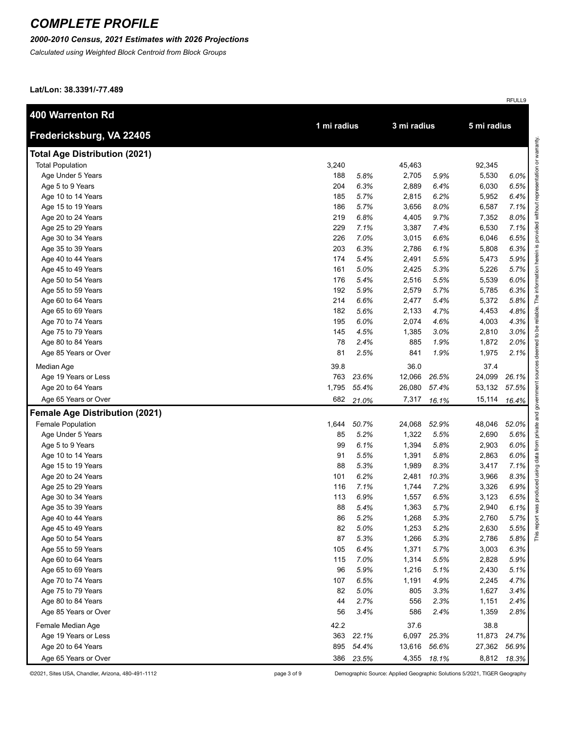### *2000-2010 Census, 2021 Estimates with 2026 Projections*

*Calculated using Weighted Block Centroid from Block Groups*

**Lat/Lon: 38.3391/-77.489**

| 400 Warrenton Rd                      |             |       |             |       |             |       |
|---------------------------------------|-------------|-------|-------------|-------|-------------|-------|
| Fredericksburg, VA 22405              | 1 mi radius |       | 3 mi radius |       | 5 mi radius |       |
| <b>Total Age Distribution (2021)</b>  |             |       |             |       |             |       |
| <b>Total Population</b>               | 3,240       |       | 45,463      |       | 92,345      |       |
| Age Under 5 Years                     | 188         | 5.8%  | 2,705       | 5.9%  | 5,530       | 6.0%  |
| Age 5 to 9 Years                      | 204         | 6.3%  | 2,889       | 6.4%  | 6,030       | 6.5%  |
| Age 10 to 14 Years                    | 185         | 5.7%  | 2,815       | 6.2%  | 5,952       | 6.4%  |
| Age 15 to 19 Years                    | 186         | 5.7%  | 3,656       | 8.0%  | 6,587       | 7.1%  |
| Age 20 to 24 Years                    | 219         | 6.8%  | 4,405       | 9.7%  | 7,352       | 8.0%  |
| Age 25 to 29 Years                    | 229         | 7.1%  | 3,387       | 7.4%  | 6,530       | 7.1%  |
| Age 30 to 34 Years                    | 226         | 7.0%  | 3,015       | 6.6%  | 6,046       | 6.5%  |
| Age 35 to 39 Years                    | 203         | 6.3%  | 2,786       | 6.1%  | 5,808       | 6.3%  |
| Age 40 to 44 Years                    | 174         | 5.4%  | 2,491       | 5.5%  | 5,473       | 5.9%  |
| Age 45 to 49 Years                    | 161         | 5.0%  | 2,425       | 5.3%  | 5,226       | 5.7%  |
| Age 50 to 54 Years                    | 176         | 5.4%  | 2,516       | 5.5%  | 5,539       | 6.0%  |
| Age 55 to 59 Years                    | 192         | 5.9%  | 2,579       | 5.7%  | 5,785       | 6.3%  |
| Age 60 to 64 Years                    | 214         | 6.6%  | 2,477       | 5.4%  | 5,372       | 5.8%  |
| Age 65 to 69 Years                    | 182         | 5.6%  | 2,133       | 4.7%  | 4,453       | 4.8%  |
| Age 70 to 74 Years                    | 195         | 6.0%  | 2,074       | 4.6%  | 4,003       | 4.3%  |
| Age 75 to 79 Years                    | 145         | 4.5%  | 1,385       | 3.0%  | 2,810       | 3.0%  |
| Age 80 to 84 Years                    | 78          | 2.4%  | 885         | 1.9%  | 1,872       | 2.0%  |
| Age 85 Years or Over                  | 81          | 2.5%  | 841         | 1.9%  | 1,975       | 2.1%  |
| Median Age                            | 39.8        |       | 36.0        |       | 37.4        |       |
| Age 19 Years or Less                  | 763         | 23.6% | 12,066      | 26.5% | 24,099      | 26.1% |
| Age 20 to 64 Years                    | 1,795       | 55.4% | 26,080      | 57.4% | 53,132      | 57.5% |
| Age 65 Years or Over                  | 682         | 21.0% | 7,317       | 16.1% | 15,114      | 16.4% |
| <b>Female Age Distribution (2021)</b> |             |       |             |       |             |       |
| <b>Female Population</b>              | 1,644       | 50.7% | 24,068      | 52.9% | 48,046      | 52.0% |
| Age Under 5 Years                     | 85          | 5.2%  | 1,322       | 5.5%  | 2,690       | 5.6%  |
| Age 5 to 9 Years                      | 99          | 6.1%  | 1,394       | 5.8%  | 2,903       | 6.0%  |
| Age 10 to 14 Years                    | 91          | 5.5%  | 1,391       | 5.8%  | 2,863       | 6.0%  |
| Age 15 to 19 Years                    | 88          | 5.3%  | 1,989       | 8.3%  | 3,417       | 7.1%  |
| Age 20 to 24 Years                    | 101         | 6.2%  | 2,481       | 10.3% | 3,966       | 8.3%  |
| Age 25 to 29 Years                    | 116         | 7.1%  | 1,744       | 7.2%  | 3,326       | 6.9%  |
| Age 30 to 34 Years                    | 113         | 6.9%  | 1,557       | 6.5%  | 3,123       | 6.5%  |
| Age 35 to 39 Years                    | 88          | 5.4%  | 1,363       | 5.7%  | 2,940       | 6.1%  |
| Age 40 to 44 Years                    | 86          | 5.2%  | 1,268       | 5.3%  | 2,760       | 5.7%  |
| Age 45 to 49 Years                    | 82          | 5.0%  | 1,253       | 5.2%  | 2,630       | 5.5%  |
| Age 50 to 54 Years                    | 87          | 5.3%  | 1,266       | 5.3%  | 2,786       | 5.8%  |
| Age 55 to 59 Years                    | 105         | 6.4%  | 1,371       | 5.7%  | 3,003       | 6.3%  |
| Age 60 to 64 Years                    | 115         | 7.0%  | 1,314       | 5.5%  | 2,828       | 5.9%  |
| Age 65 to 69 Years                    | 96          | 5.9%  | 1,216       | 5.1%  | 2,430       | 5.1%  |
| Age 70 to 74 Years                    | 107         | 6.5%  | 1,191       | 4.9%  | 2,245       | 4.7%  |
| Age 75 to 79 Years                    | 82          | 5.0%  | 805         | 3.3%  | 1,627       | 3.4%  |
| Age 80 to 84 Years                    | 44          | 2.7%  | 556         | 2.3%  | 1,151       | 2.4%  |
| Age 85 Years or Over                  | 56          | 3.4%  | 586         | 2.4%  | 1,359       | 2.8%  |
| Female Median Age                     | 42.2        |       | 37.6        |       | 38.8        |       |
| Age 19 Years or Less                  | 363         | 22.1% | 6,097       | 25.3% | 11,873      | 24.7% |
| Age 20 to 64 Years                    | 895         | 54.4% | 13,616      | 56.6% | 27,362      | 56.9% |
| Age 65 Years or Over                  | 386         | 23.5% | 4,355       | 18.1% | 8,812       | 18.3% |

©2021, Sites USA, Chandler, Arizona, 480-491-1112 page 3 of 9 Demographic Source: Applied Geographic Solutions 5/2021, TIGER Geography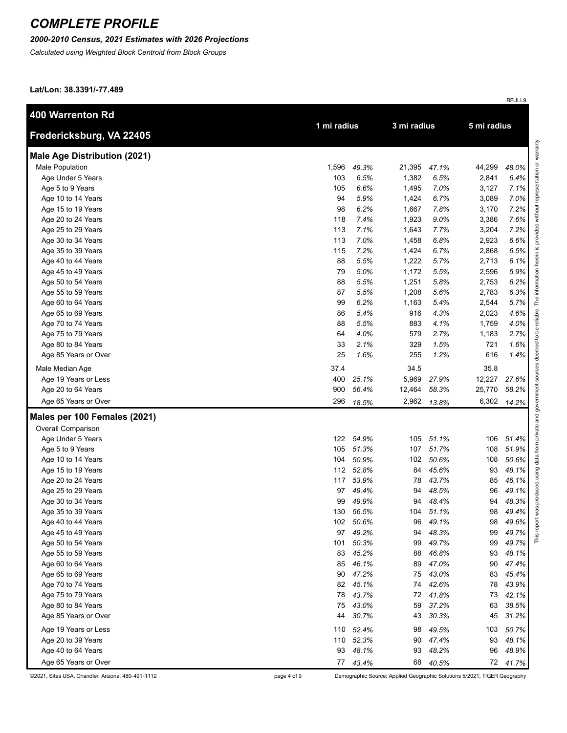#### *2000-2010 Census, 2021 Estimates with 2026 Projections*

*Calculated using Weighted Block Centroid from Block Groups*

**Lat/Lon: 38.3391/-77.489**

| <b>400 Warrenton Rd</b>             |             |           |             |           |             |          |                         |
|-------------------------------------|-------------|-----------|-------------|-----------|-------------|----------|-------------------------|
| Fredericksburg, VA 22405            | 1 mi radius |           | 3 mi radius |           | 5 mi radius |          |                         |
| <b>Male Age Distribution (2021)</b> |             |           |             |           |             |          | esentation or warranty. |
| Male Population                     | 1,596       | 49.3%     | 21,395      | 47.1%     | 44,299      | 48.0%    |                         |
| Age Under 5 Years                   | 103         | 6.5%      | 1,382       | 6.5%      | 2,841       | 6.4%     |                         |
| Age 5 to 9 Years                    | 105         | 6.6%      | 1,495       | 7.0%      | 3,127       | 7.1%     |                         |
| Age 10 to 14 Years                  | 94          | 5.9%      | 1,424       | 6.7%      | 3,089       | 7.0%     |                         |
| Age 15 to 19 Years                  | 98          | 6.2%      | 1,667       | 7.8%      | 3,170       | 7.2%     | without                 |
| Age 20 to 24 Years                  | 118         | 7.4%      | 1,923       | 9.0%      | 3,386       | 7.6%     |                         |
| Age 25 to 29 Years                  | 113         | 7.1%      | 1,643       | 7.7%      | 3,204       | 7.2%     | rovided                 |
| Age 30 to 34 Years                  | 113         | 7.0%      | 1,458       | 6.8%      | 2,923       | 6.6%     |                         |
| Age 35 to 39 Years                  | 115         | 7.2%      | 1,424       | 6.7%      | 2,868       | 6.5%     |                         |
| Age 40 to 44 Years                  | 88          | 5.5%      | 1,222       | 5.7%      | 2,713       | 6.1%     |                         |
| Age 45 to 49 Years                  | 79          | 5.0%      | 1,172       | 5.5%      | 2,596       | 5.9%     |                         |
| Age 50 to 54 Years                  | 88          | 5.5%      | 1,251       | 5.8%      | 2,753       | 6.2%     |                         |
| Age 55 to 59 Years                  | 87          | 5.5%      | 1,208       | 5.6%      | 2,783       | 6.3%     |                         |
| Age 60 to 64 Years                  | 99          | 6.2%      | 1,163       | 5.4%      | 2,544       | 5.7%     | The                     |
| Age 65 to 69 Years                  | 86          | 5.4%      | 916         | 4.3%      | 2,023       | 4.6%     | reliable.               |
| Age 70 to 74 Years                  | 88          | 5.5%      | 883         | 4.1%      | 1,759       | 4.0%     | ತಿ                      |
| Age 75 to 79 Years                  | 64          | 4.0%      | 579         | 2.7%      | 1,183       | 2.7%     | $\overline{c}$          |
| Age 80 to 84 Years                  | 33          | 2.1%      | 329         | 1.5%      | 721         | 1.6%     |                         |
| Age 85 Years or Over                | 25          | 1.6%      | 255         | 1.2%      | 616         | 1.4%     |                         |
| Male Median Age                     | 37.4        |           | 34.5        |           | 35.8        |          |                         |
| Age 19 Years or Less                | 400         | 25.1%     | 5,969       | 27.9%     | 12,227      | 27.6%    | nos                     |
| Age 20 to 64 Years                  | 900         | 56.4%     | 12,464      | 58.3%     | 25,770      | 58.2%    |                         |
| Age 65 Years or Over                | 296         | 18.5%     | 2,962       | 13.8%     | 6,302       | 14.2%    | govern                  |
| Males per 100 Females (2021)        |             |           |             |           |             |          | private and             |
| Overall Comparison                  |             |           |             |           |             |          |                         |
| Age Under 5 Years                   | 122         | 54.9%     | 105         | 51.1%     | 106         | 51.4%    |                         |
| Age 5 to 9 Years                    | 105         | 51.3%     | 107         | 51.7%     | 108         | 51.9%    | from                    |
| Age 10 to 14 Years                  | 104         | 50.9%     | 102         | 50.6%     | 108         | 50.6%    | data                    |
| Age 15 to 19 Years                  | 112         | 52.8%     | 84          | 45.6%     | 93          | 48.1%    | using                   |
| Age 20 to 24 Years                  | 117         | 53.9%     | 78          | 43.7%     | 85          | 46.1%    |                         |
| Age 25 to 29 Years                  | 97          | 49.4%     | 94          | 48.5%     | 96          | 49.1%    | produced                |
| Age 30 to 34 Years                  | 99          | 49.9%     | 94          | 48.4%     | 94          | 48.3%    |                         |
| Age 35 to 39 Years                  | 130         | 56.5%     |             | 104 51.1% | 98          | 49.4%    | was                     |
| Age 40 to 44 Years                  | 102         | 50.6%     | 96          | 49.1%     | 98          | 49.6%    | report                  |
| Age 45 to 49 Years                  | 97          | 49.2%     | 94          | 48.3%     | 99          | 49.7%    | This                    |
| Age 50 to 54 Years                  | 101         | 50.3%     | 99          | 49.7%     | 99          | 49.7%    |                         |
| Age 55 to 59 Years                  | 83          | 45.2%     | 88          | 46.8%     | 93          | 48.1%    |                         |
| Age 60 to 64 Years                  | 85          | 46.1%     | 89          | 47.0%     | 90          | 47.4%    |                         |
| Age 65 to 69 Years                  | 90          | 47.2%     | 75          | 43.0%     | 83          | 45.4%    |                         |
| Age 70 to 74 Years                  | 82          | 45.1%     | 74          | 42.6%     | 78          | 43.9%    |                         |
| Age 75 to 79 Years                  | 78          | 43.7%     | 72          | 41.8%     | 73          | 42.1%    |                         |
| Age 80 to 84 Years                  | 75          | 43.0%     | 59          | 37.2%     | 63          | 38.5%    |                         |
| Age 85 Years or Over                | 44          | 30.7%     | 43          | 30.3%     | 45          | 31.2%    |                         |
| Age 19 Years or Less                |             | 110 52.4% | 98          | 49.5%     | 103         | 50.7%    |                         |
| Age 20 to 39 Years                  |             | 110 52.3% | 90          | 47.4%     | 93          | 48.1%    |                         |
| Age 40 to 64 Years                  | 93          | 48.1%     | 93          | 48.2%     | 96          | 48.9%    |                         |
| Age 65 Years or Over                |             | 77 43.4%  | 68          | 40.5%     |             | 72 41.7% |                         |

©2021, Sites USA, Chandler, Arizona, 480-491-1112 page 4 of 9 Demographic Source: Applied Geographic Solutions 5/2021, TIGER Geography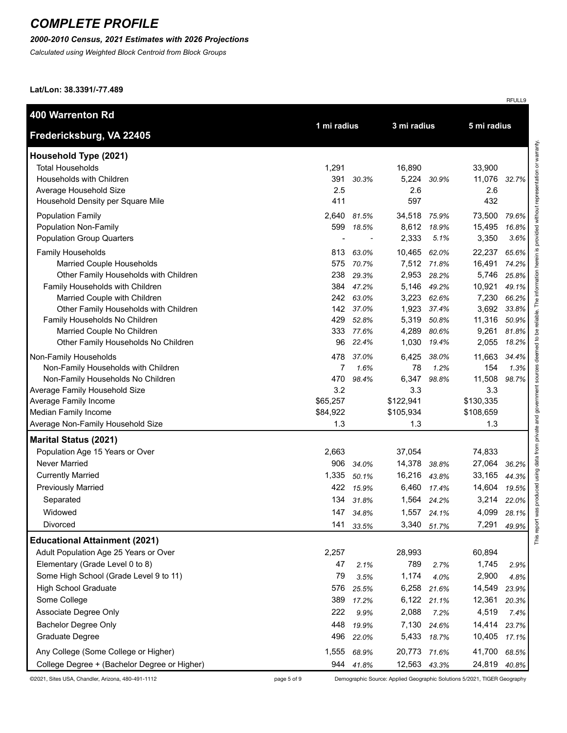#### *2000-2010 Census, 2021 Estimates with 2026 Projections*

*Calculated using Weighted Block Centroid from Block Groups*

**Lat/Lon: 38.3391/-77.489**

| <b>400 Warrenton Rd</b>                                                                                                                                                                                                                                                                                          |                                                                    |                                                                                       |                                                                       |                                                                                     | 5 mi radius                                                                       |                                                                               |
|------------------------------------------------------------------------------------------------------------------------------------------------------------------------------------------------------------------------------------------------------------------------------------------------------------------|--------------------------------------------------------------------|---------------------------------------------------------------------------------------|-----------------------------------------------------------------------|-------------------------------------------------------------------------------------|-----------------------------------------------------------------------------------|-------------------------------------------------------------------------------|
| Fredericksburg, VA 22405                                                                                                                                                                                                                                                                                         |                                                                    | 1 mi radius                                                                           |                                                                       | 3 mi radius                                                                         |                                                                                   |                                                                               |
| Household Type (2021)<br><b>Total Households</b><br>Households with Children<br>Average Household Size<br>Household Density per Square Mile                                                                                                                                                                      | 1,291<br>391<br>2.5<br>411                                         | 30.3%                                                                                 | 16,890<br>5,224<br>2.6<br>597                                         | 30.9%                                                                               | 33,900<br>11,076<br>2.6<br>432                                                    | 32.7%                                                                         |
| <b>Population Family</b><br>Population Non-Family<br><b>Population Group Quarters</b>                                                                                                                                                                                                                            | 2,640<br>599                                                       | 81.5%<br>18.5%                                                                        | 34,518 75.9%<br>2,333                                                 | 8,612 18.9%<br>5.1%                                                                 | 73,500<br>15,495<br>3,350                                                         | 79.6%<br>16.8%<br>3.6%                                                        |
| <b>Family Households</b><br>Married Couple Households<br>Other Family Households with Children<br>Family Households with Children<br>Married Couple with Children<br>Other Family Households with Children<br>Family Households No Children<br>Married Couple No Children<br>Other Family Households No Children | 813<br>575<br>238<br>242<br>429<br>333<br>96                       | 63.0%<br>70.7%<br>29.3%<br>384 47.2%<br>63.0%<br>142 37.0%<br>52.8%<br>77.6%<br>22.4% | 10,465<br>2,953<br>5,146<br>3,223<br>1,923<br>5,319<br>4,289<br>1,030 | 62.0%<br>7,512 71.8%<br>28.2%<br>49.2%<br>62.6%<br>37.4%<br>50.8%<br>80.6%<br>19.4% | 22,237<br>16,491<br>5,746<br>10,921<br>7,230<br>3,692<br>11,316<br>9,261<br>2,055 | 65.6%<br>74.2%<br>25.8%<br>49.1%<br>66.2%<br>33.8%<br>50.9%<br>81.8%<br>18.2% |
| Non-Family Households<br>Non-Family Households with Children<br>Non-Family Households No Children<br>Average Family Household Size<br>Average Family Income<br>Median Family Income<br>Average Non-Family Household Size                                                                                         | 478<br>$\overline{7}$<br>470<br>3.2<br>\$65,257<br>\$84,922<br>1.3 | 37.0%<br>1.6%<br>98.4%                                                                | 6,425<br>78<br>6,347<br>3.3<br>\$122,941<br>\$105,934<br>1.3          | 38.0%<br>1.2%<br>98.8%                                                              | 11,663<br>154<br>11,508<br>3.3<br>\$130,335<br>\$108,659<br>1.3                   | 34.4%<br>1.3%<br>98.7%                                                        |
| <b>Marital Status (2021)</b>                                                                                                                                                                                                                                                                                     |                                                                    |                                                                                       |                                                                       |                                                                                     |                                                                                   |                                                                               |
| Population Age 15 Years or Over<br>Never Married<br><b>Currently Married</b><br><b>Previously Married</b><br>Separated<br>Widowed<br>Divorced                                                                                                                                                                    | 2,663<br>906<br>1,335<br>422<br>134<br>147<br>141                  | 34.0%<br>50.1%<br>15.9%<br>31.8%<br>34.8%<br>33.5%                                    | 37,054<br>14,378<br>16,216 43.8%<br>6,460<br>1,564<br>3,340           | 38.8%<br>17.4%<br>24.2%<br>1,557 24.1%<br>51.7%                                     | 74,833<br>27,064<br>33,165<br>14,604<br>3,214<br>4,099<br>7,291                   | 36.2%<br>44.3%<br>19.5%<br>22.0%<br>28.1%<br>49.9%                            |
| <b>Educational Attainment (2021)</b><br>Adult Population Age 25 Years or Over<br>Elementary (Grade Level 0 to 8)<br>Some High School (Grade Level 9 to 11)<br><b>High School Graduate</b><br>Some College<br>Associate Degree Only<br><b>Bachelor Degree Only</b><br>Graduate Degree                             | 2,257<br>47<br>79<br>576<br>389<br>222<br>448<br>496               | 2.1%<br>3.5%<br>25.5%<br>17.2%<br>9.9%<br>19.9%<br>22.0%                              | 28,993<br>789<br>1,174<br>6,258<br>6,122<br>2,088<br>7,130<br>5,433   | 2.7%<br>4.0%<br>21.6%<br>21.1%<br>7.2%<br>24.6%<br>18.7%                            | 60,894<br>1,745<br>2,900<br>14,549<br>12,361<br>4,519<br>14,414<br>10,405         | 2.9%<br>4.8%<br>23.9%<br>20.3%<br>7.4%<br>23.7%<br>17.1%                      |
| Any College (Some College or Higher)<br>College Degree + (Bachelor Degree or Higher)                                                                                                                                                                                                                             | 1,555<br>944                                                       | 68.9%<br>41.8%                                                                        | 20,773<br>12,563 43.3%                                                | 71.6%                                                                               | 41,700<br>24,819                                                                  | 68.5%<br>40.8%                                                                |

©2021, Sites USA, Chandler, Arizona, 480-491-1112 page 5 of 9 Demographic Source: Applied Geographic Solutions 5/2021, TIGER Geography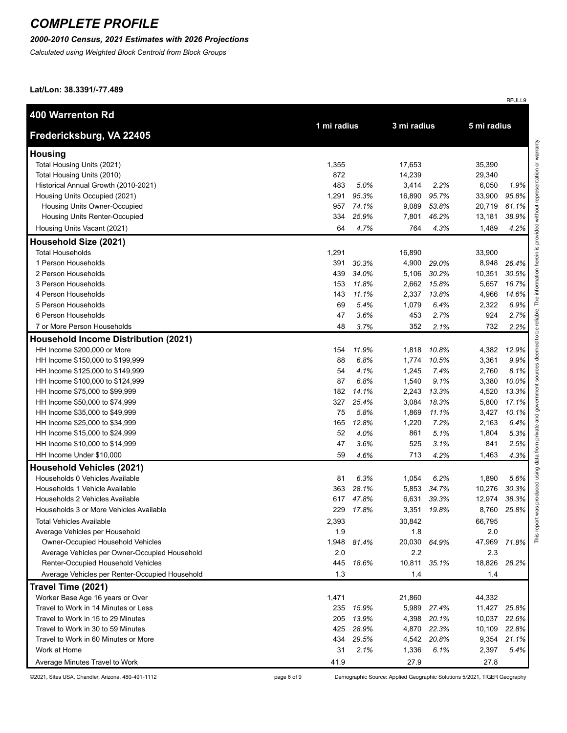#### *2000-2010 Census, 2021 Estimates with 2026 Projections*

*Calculated using Weighted Block Centroid from Block Groups*

**Lat/Lon: 38.3391/-77.489**

| <b>400 Warrenton Rd</b>                              |             |               |                |               | 5 mi radius    |               |
|------------------------------------------------------|-------------|---------------|----------------|---------------|----------------|---------------|
| Fredericksburg, VA 22405                             | 1 mi radius |               | 3 mi radius    |               |                |               |
| <b>Housing</b>                                       |             |               |                |               |                |               |
| Total Housing Units (2021)                           | 1,355       |               | 17,653         |               | 35,390         |               |
| Total Housing Units (2010)                           | 872         |               | 14,239         |               | 29,340         |               |
| Historical Annual Growth (2010-2021)                 | 483         | 5.0%          | 3,414          | 2.2%          | 6,050          | 1.9%          |
| Housing Units Occupied (2021)                        | 1,291       | 95.3%         | 16,890         | 95.7%         | 33,900         | 95.8%         |
| Housing Units Owner-Occupied                         | 957         | 74.1%         | 9,089          | 53.8%         | 20,719         | 61.1%         |
| Housing Units Renter-Occupied                        | 334         | 25.9%         | 7,801          | 46.2%         | 13,181         | 38.9%         |
| Housing Units Vacant (2021)                          | 64          | 4.7%          | 764            | 4.3%          | 1,489          | 4.2%          |
| Household Size (2021)                                |             |               |                |               |                |               |
| <b>Total Households</b>                              | 1,291       |               | 16,890         |               | 33,900         |               |
| 1 Person Households                                  | 391         | 30.3%         | 4,900          | 29.0%         | 8,948          | 26.4%         |
| 2 Person Households                                  | 439         | 34.0%         | 5,106          | 30.2%         | 10,351         | 30.5%         |
| 3 Person Households                                  | 153         | 11.8%         | 2,662          | 15.8%         | 5,657          | 16.7%         |
| 4 Person Households                                  | 143         | 11.1%         | 2,337          | 13.8%         | 4,966          | 14.6%         |
| 5 Person Households                                  | 69          | 5.4%          | 1,079          | 6.4%          | 2,322          | 6.9%          |
| 6 Person Households                                  | 47          | 3.6%          | 453            | 2.7%          | 924            | 2.7%          |
| 7 or More Person Households                          | 48          | 3.7%          | 352            | 2.1%          | 732            | 2.2%          |
| <b>Household Income Distribution (2021)</b>          |             |               |                |               |                |               |
| HH Income \$200,000 or More                          | 154         | 11.9%         | 1,818          | 10.8%         | 4,382          | 12.9%         |
| HH Income \$150,000 to \$199,999                     | 88          | 6.8%          | 1,774          | 10.5%         | 3,361          | 9.9%          |
| HH Income \$125,000 to \$149,999                     | 54          | 4.1%          | 1,245          | 7.4%          | 2,760          | 8.1%          |
| HH Income \$100,000 to \$124,999                     | 87          | 6.8%          | 1,540          | 9.1%          | 3,380          | 10.0%         |
| HH Income \$75,000 to \$99,999                       | 182         | 14.1%         | 2,243          | 13.3%         | 4,520          | 13.3%         |
| HH Income \$50,000 to \$74,999                       | 327         | 25.4%         | 3,084          | 18.3%         | 5,800          | 17.1%         |
| HH Income \$35,000 to \$49,999                       | 75          | 5.8%          | 1,869          | 11.1%         | 3,427          | 10.1%         |
| HH Income \$25,000 to \$34,999                       | 165         | 12.8%         | 1,220          | 7.2%          | 2,163          | 6.4%          |
| HH Income \$15,000 to \$24,999                       | 52          | 4.0%          | 861            | 5.1%          | 1,804          | 5.3%          |
| HH Income \$10,000 to \$14,999                       | 47          | 3.6%          | 525            | 3.1%          | 841            | 2.5%          |
| HH Income Under \$10,000                             | 59          | 4.6%          | 713            | 4.2%          | 1,463          | 4.3%          |
| <b>Household Vehicles (2021)</b>                     |             |               |                |               |                |               |
| Households 0 Vehicles Available                      | 81          | 6.3%          | 1,054          | 6.2%          | 1,890          | 5.6%          |
| Households 1 Vehicle Available                       | 363         | 28.1%         | 5,853          | 34.7%         | 10,276         | 30.3%         |
| Households 2 Vehicles Available                      | 617         | 47.8%         | 6,631          | 39.3%         | 12,974         | 38.3%         |
| Households 3 or More Vehicles Available              | 229         | 17.8%         | 3,351          | 19.8%         | 8,760          | 25.8%         |
| <b>Total Vehicles Available</b>                      | 2,393       |               | 30,842         |               | 66,795         |               |
| Average Vehicles per Household                       | 1.9         |               | 1.8            |               | 2.0            |               |
| <b>Owner-Occupied Household Vehicles</b>             | 1,948       | 81.4%         | 20,030         | 64.9%         | 47,969         | 71.8%         |
| Average Vehicles per Owner-Occupied Household        | 2.0         |               | 2.2            |               | 2.3            |               |
| Renter-Occupied Household Vehicles                   | 445         | 18.6%         | 10,811         | 35.1%         | 18,826         | 28.2%         |
| Average Vehicles per Renter-Occupied Household       | 1.3         |               | 1.4            |               | 1.4            |               |
| Travel Time (2021)                                   |             |               |                |               |                |               |
| Worker Base Age 16 years or Over                     | 1,471       |               | 21,860         |               | 44,332         |               |
| Travel to Work in 14 Minutes or Less                 | 235         | 15.9%         | 5,989          | 27.4%         | 11,427         | 25.8%         |
| Travel to Work in 15 to 29 Minutes                   | 205         | 13.9%         | 4,398          | 20.1%         | 10,037         | 22.6%         |
| Travel to Work in 30 to 59 Minutes                   | 425         | 28.9%         | 4,870          | 22.3%         | 10,109         | 22.8%         |
| Travel to Work in 60 Minutes or More<br>Work at Home | 434<br>31   | 29.5%<br>2.1% | 4,542<br>1,336 | 20.8%<br>6.1% | 9,354<br>2,397 | 21.1%<br>5.4% |
| Average Minutes Travel to Work                       | 41.9        |               | 27.9           |               | 27.8           |               |
|                                                      |             |               |                |               |                |               |

©2021, Sites USA, Chandler, Arizona, 480-491-1112 page 6 of 9 Demographic Source: Applied Geographic Solutions 5/2021, TIGER Geography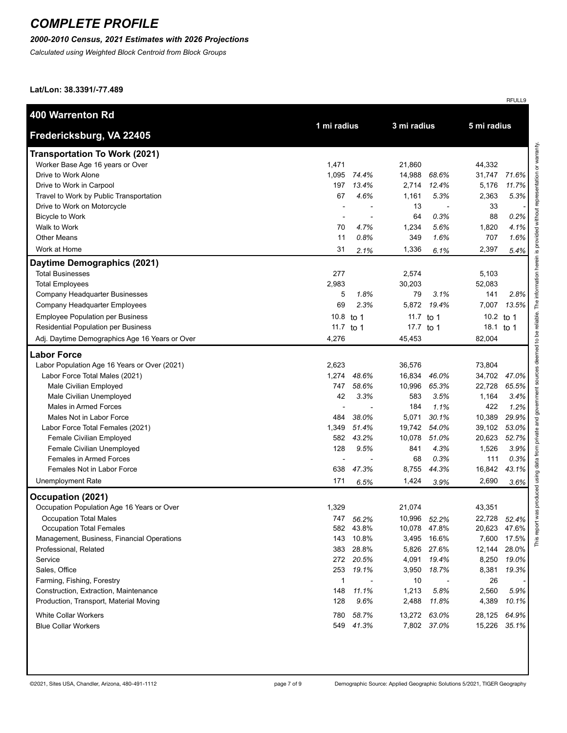### *2000-2010 Census, 2021 Estimates with 2026 Projections*

*Calculated using Weighted Block Centroid from Block Groups*

**Lat/Lon: 38.3391/-77.489**

| <b>400 Warrenton Rd</b>                        | 1 mi radius  |           | 3 mi radius |              | 5 mi radius  |       |
|------------------------------------------------|--------------|-----------|-------------|--------------|--------------|-------|
| Fredericksburg, VA 22405                       |              |           |             |              |              |       |
| <b>Transportation To Work (2021)</b>           |              |           |             |              |              |       |
| Worker Base Age 16 years or Over               | 1,471        |           | 21,860      |              | 44,332       |       |
| Drive to Work Alone                            | 1,095        | 74.4%     | 14,988      | 68.6%        | 31,747       | 71.6% |
| Drive to Work in Carpool                       | 197          | 13.4%     | 2,714       | 12.4%        | 5,176        | 11.7% |
| Travel to Work by Public Transportation        | 67           | 4.6%      | 1,161       | 5.3%         | 2,363        | 5.3%  |
| Drive to Work on Motorcycle                    |              |           | 13          |              | 33           |       |
| <b>Bicycle to Work</b>                         |              |           | 64          | 0.3%         | 88           | 0.2%  |
| Walk to Work                                   | 70           | 4.7%      | 1,234       | 5.6%         | 1,820        | 4.1%  |
| <b>Other Means</b>                             | 11           | 0.8%      | 349         | 1.6%         | 707          | 1.6%  |
| Work at Home                                   | 31           | 2.1%      | 1,336       | 6.1%         | 2,397        | 5.4%  |
| Daytime Demographics (2021)                    |              |           |             |              |              |       |
| <b>Total Businesses</b>                        | 277          |           | 2,574       |              | 5,103        |       |
| <b>Total Employees</b>                         | 2,983        |           | 30,203      |              | 52,083       |       |
| Company Headquarter Businesses                 | 5            | 1.8%      | 79          | 3.1%         | 141          | 2.8%  |
| Company Headquarter Employees                  | 69           | 2.3%      | 5,872       | 19.4%        | 7,007        | 13.5% |
| <b>Employee Population per Business</b>        | 10.8 to 1    |           | 11.7 to 1   |              | 10.2 to 1    |       |
| Residential Population per Business            | 11.7 to 1    |           | 17.7 to 1   |              | 18.1 to 1    |       |
| Adj. Daytime Demographics Age 16 Years or Over | 4,276        |           | 45,453      |              | 82,004       |       |
| <b>Labor Force</b>                             |              |           |             |              |              |       |
| Labor Population Age 16 Years or Over (2021)   | 2,623        |           | 36,576      |              | 73,804       |       |
| Labor Force Total Males (2021)                 | 1,274        | 48.6%     | 16,834      | 46.0%        | 34,702       | 47.0% |
| Male Civilian Employed                         | 747          | 58.6%     | 10,996      | 65.3%        | 22,728       | 65.5% |
| Male Civilian Unemployed                       | 42           | 3.3%      | 583         | 3.5%         | 1,164        | 3.4%  |
| Males in Armed Forces                          |              |           | 184         | 1.1%         | 422          | 1.2%  |
| Males Not in Labor Force                       | 484          | 38.0%     | 5,071       | 30.1%        | 10,389       | 29.9% |
| Labor Force Total Females (2021)               | 1,349        | 51.4%     | 19,742      | 54.0%        | 39,102       | 53.0% |
| Female Civilian Employed                       | 582          | 43.2%     | 10,078      | 51.0%        | 20,623       | 52.7% |
| Female Civilian Unemployed                     | 128          | 9.5%      | 841         | 4.3%         | 1,526        | 3.9%  |
| <b>Females in Armed Forces</b>                 |              |           | 68          | 0.3%         | 111          | 0.3%  |
| Females Not in Labor Force                     | 638          | 47.3%     | 8,755       | 44.3%        | 16,842       | 43.1% |
| <b>Unemployment Rate</b>                       | 171          | 6.5%      | 1,424       | 3.9%         | 2,690        | 3.6%  |
| Occupation (2021)                              |              |           |             |              |              |       |
| Occupation Population Age 16 Years or Over     | 1,329        |           | 21,074      |              | 43,351       |       |
| <b>Occupation Total Males</b>                  |              | 747 56.2% |             | 10,996 52.2% | 22,728 52.4% |       |
| Occupation Total Females                       |              | 582 43.8% |             | 10,078 47.8% | 20,623 47.6% |       |
| Management, Business, Financial Operations     |              | 143 10.8% |             | 3,495 16.6%  | 7,600        | 17.5% |
| Professional, Related                          |              | 383 28.8% |             | 5,826 27.6%  | 12,144       | 28.0% |
| Service                                        |              | 272 20.5% | 4,091       | 19.4%        | 8,250        | 19.0% |
| Sales, Office                                  | 253          | 19.1%     | 3,950       | 18.7%        | 8,381        | 19.3% |
| Farming, Fishing, Forestry                     | $\mathbf{1}$ |           | 10          |              | 26           |       |
| Construction, Extraction, Maintenance          | 148          | 11.1%     | 1,213       | 5.8%         | 2,560        | 5.9%  |
| Production, Transport, Material Moving         | 128          | 9.6%      | 2,488       | 11.8%        | 4,389        | 10.1% |
| <b>White Collar Workers</b>                    | 780          | 58.7%     |             | 13,272 63.0% | 28,125       | 64.9% |
| <b>Blue Collar Workers</b>                     |              | 549 41.3% |             | 7,802 37.0%  | 15,226       | 35.1% |
|                                                |              |           |             |              |              |       |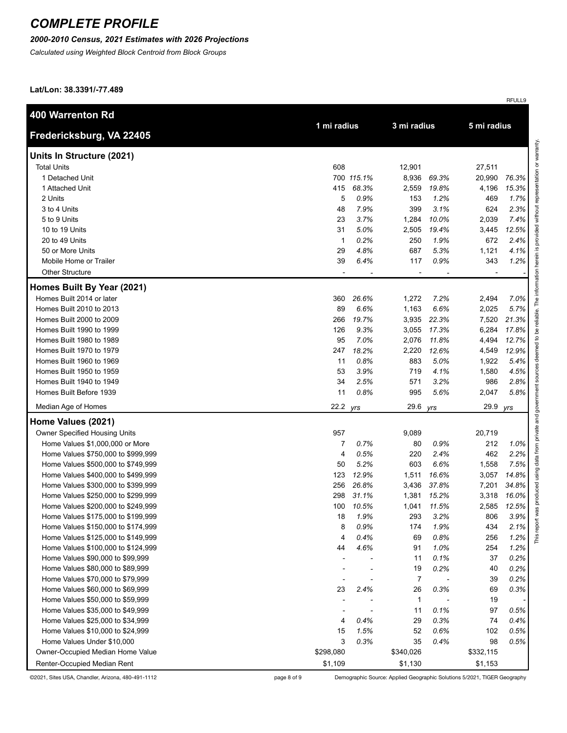### *2000-2010 Census, 2021 Estimates with 2026 Projections*

*Calculated using Weighted Block Centroid from Block Groups*

**Lat/Lon: 38.3391/-77.489**

| <b>400 Warrenton Rd</b>            | 1 mi radius              |            | 3 mi radius              |       | 5 mi radius    |       |
|------------------------------------|--------------------------|------------|--------------------------|-------|----------------|-------|
| Fredericksburg, VA 22405           |                          |            |                          |       |                |       |
| Units In Structure (2021)          |                          |            |                          |       |                |       |
| <b>Total Units</b>                 | 608                      |            | 12,901                   |       | 27,511         |       |
| 1 Detached Unit                    |                          | 700 115.1% | 8,936                    | 69.3% | 20,990         | 76.3% |
| 1 Attached Unit                    | 415                      | 68.3%      | 2,559                    | 19.8% | 4,196          | 15.3% |
| 2 Units                            | 5                        | 0.9%       | 153                      | 1.2%  | 469            | 1.7%  |
| 3 to 4 Units                       | 48                       | 7.9%       | 399                      | 3.1%  | 624            | 2.3%  |
| 5 to 9 Units                       | 23                       | 3.7%       | 1,284                    | 10.0% | 2,039          | 7.4%  |
| 10 to 19 Units                     | 31                       | 5.0%       | 2,505                    | 19.4% | 3,445          | 12.5% |
| 20 to 49 Units                     | $\mathbf{1}$             | 0.2%       | 250                      | 1.9%  | 672            | 2.4%  |
| 50 or More Units                   | 29                       | 4.8%       | 687                      | 5.3%  | 1,121          | 4.1%  |
| Mobile Home or Trailer             | 39                       | 6.4%       | 117                      | 0.9%  | 343            | 1.2%  |
| <b>Other Structure</b>             | $\overline{\phantom{a}}$ |            | $\overline{\phantom{a}}$ |       | $\blacksquare$ |       |
| Homes Built By Year (2021)         |                          |            |                          |       |                |       |
| Homes Built 2014 or later          | 360                      | 26.6%      | 1,272                    | 7.2%  | 2,494          | 7.0%  |
| Homes Built 2010 to 2013           | 89                       | 6.6%       | 1,163                    | 6.6%  | 2,025          | 5.7%  |
| Homes Built 2000 to 2009           | 266                      | 19.7%      | 3,935                    | 22.3% | 7,520          | 21.3% |
| Homes Built 1990 to 1999           | 126                      | 9.3%       | 3,055                    | 17.3% | 6,284          | 17.8% |
| Homes Built 1980 to 1989           | 95                       | 7.0%       | 2,076                    | 11.8% | 4,494          | 12.7% |
| Homes Built 1970 to 1979           | 247                      | 18.2%      | 2,220                    | 12.6% | 4,549          | 12.9% |
| Homes Built 1960 to 1969           | 11                       | 0.8%       | 883                      | 5.0%  | 1,922          | 5.4%  |
| Homes Built 1950 to 1959           | 53                       | 3.9%       | 719                      | 4.1%  | 1,580          | 4.5%  |
| Homes Built 1940 to 1949           | 34                       | 2.5%       | 571                      | 3.2%  | 986            | 2.8%  |
| Homes Built Before 1939            | 11                       | 0.8%       | 995                      | 5.6%  | 2,047          | 5.8%  |
| Median Age of Homes                | 22.2                     | yrs        | 29.6                     | yrs   | 29.9           | yrs   |
| Home Values (2021)                 |                          |            |                          |       |                |       |
| Owner Specified Housing Units      | 957                      |            | 9,089                    |       | 20,719         |       |
| Home Values \$1,000,000 or More    | 7                        | 0.7%       | 80                       | 0.9%  | 212            | 1.0%  |
| Home Values \$750,000 to \$999,999 | 4                        | 0.5%       | 220                      | 2.4%  | 462            | 2.2%  |
| Home Values \$500,000 to \$749,999 | 50                       | 5.2%       | 603                      | 6.6%  | 1,558          | 7.5%  |
| Home Values \$400,000 to \$499,999 | 123                      | 12.9%      | 1,511                    | 16.6% | 3,057          | 14.8% |
| Home Values \$300,000 to \$399,999 | 256                      | 26.8%      | 3,436                    | 37.8% | 7,201          | 34.8% |
| Home Values \$250,000 to \$299,999 | 298                      | 31.1%      | 1,381                    | 15.2% | 3,318          | 16.0% |
| Home Values \$200,000 to \$249,999 | 100                      | 10.5%      | 1,041                    | 11.5% | 2,585          | 12.5% |
| Home Values \$175,000 to \$199,999 | 18                       | 1.9%       | 293                      | 3.2%  | 806            | 3.9%  |
| Home Values \$150,000 to \$174,999 | 8                        | 0.9%       | 174                      | 1.9%  | 434            | 2.1%  |
| Home Values \$125,000 to \$149,999 | 4                        | 0.4%       | 69                       | 0.8%  | 256            | 1.2%  |
| Home Values \$100,000 to \$124,999 | 44                       | 4.6%       | 91                       | 1.0%  | 254            | 1.2%  |
| Home Values \$90,000 to \$99,999   |                          |            | 11                       | 0.1%  | 37             | 0.2%  |
| Home Values \$80,000 to \$89,999   |                          |            | 19                       | 0.2%  | 40             | 0.2%  |
| Home Values \$70,000 to \$79,999   |                          |            | $\overline{7}$           |       | 39             | 0.2%  |
| Home Values \$60,000 to \$69,999   | 23                       | 2.4%       | 26                       | 0.3%  | 69             | 0.3%  |
| Home Values \$50,000 to \$59,999   |                          |            | 1                        |       | 19             |       |
| Home Values \$35,000 to \$49,999   |                          |            | 11                       | 0.1%  | 97             | 0.5%  |
| Home Values \$25,000 to \$34,999   | 4                        | 0.4%       | 29                       | 0.3%  | 74             | 0.4%  |
| Home Values \$10,000 to \$24,999   | 15                       | 1.5%       | 52                       | 0.6%  | 102            | 0.5%  |
| Home Values Under \$10,000         | 3                        | 0.3%       | 35                       | 0.4%  | 98             | 0.5%  |
| Owner-Occupied Median Home Value   | \$298,080                |            | \$340,026                |       | \$332,115      |       |
| Renter-Occupied Median Rent        | \$1,109                  |            | \$1,130                  |       | \$1,153        |       |

©2021, Sites USA, Chandler, Arizona, 480-491-1112 page 8 of 9 Demographic Source: Applied Geographic Solutions 5/2021, TIGER Geography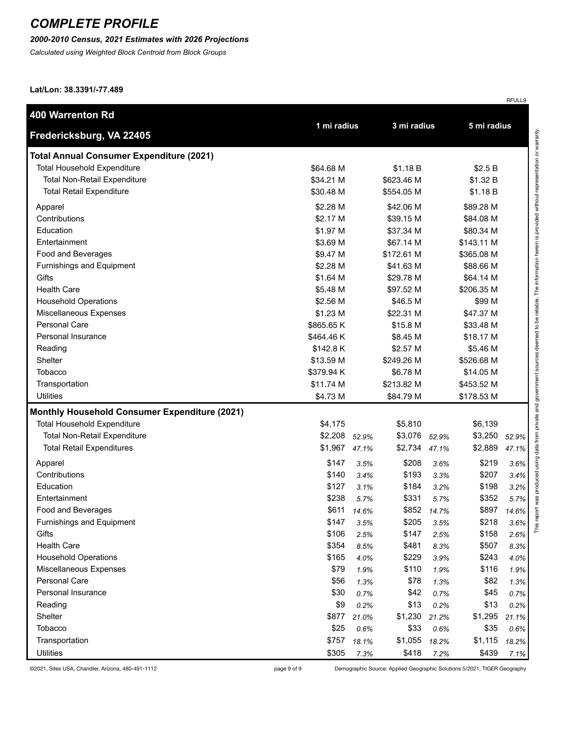### *2000-2010 Census, 2021 Estimates with 2026 Projections*

*Calculated using Weighted Block Centroid from Block Groups*

**Lat/Lon: 38.3391/-77.489**

| <b>400 Warrenton Rd</b>                              |             |       | 3 mi radius |       | 5 mi radius |       |
|------------------------------------------------------|-------------|-------|-------------|-------|-------------|-------|
| Fredericksburg, VA 22405                             | 1 mi radius |       |             |       |             |       |
| <b>Total Annual Consumer Expenditure (2021)</b>      |             |       |             |       |             |       |
| <b>Total Household Expenditure</b>                   | \$64.68 M   |       | \$1.18 B    |       | \$2.5B      |       |
| <b>Total Non-Retail Expenditure</b>                  | \$34.21 M   |       | \$623.46 M  |       | \$1.32 B    |       |
| <b>Total Retail Expenditure</b>                      | \$30.48 M   |       | \$554.05 M  |       | \$1.18 B    |       |
| Apparel                                              | \$2.28 M    |       | \$42.06 M   |       | \$89.28 M   |       |
| Contributions                                        | \$2.17 M    |       | \$39.15 M   |       | \$84.08 M   |       |
| Education                                            | \$1.97 M    |       | \$37.34 M   |       | \$80.34 M   |       |
| Entertainment                                        | \$3.69 M    |       | \$67.14 M   |       | \$143.11 M  |       |
| Food and Beverages                                   | \$9.47 M    |       | \$172.61 M  |       | \$365.08 M  |       |
| Furnishings and Equipment                            | \$2.28 M    |       | \$41.63 M   |       | \$88.66 M   |       |
| Gifts                                                | \$1.64 M    |       | \$29.78 M   |       | \$64.14 M   |       |
| <b>Health Care</b>                                   | \$5.48 M    |       | \$97.52 M   |       | \$206.35 M  |       |
| <b>Household Operations</b>                          | \$2.56 M    |       | \$46.5 M    |       | \$99 M      |       |
| Miscellaneous Expenses                               | \$1.23 M    |       | \$22.31 M   |       | \$47.37 M   |       |
| <b>Personal Care</b>                                 | \$865.65 K  |       | \$15.8 M    |       | \$33.48 M   |       |
| Personal Insurance                                   | \$464.46 K  |       | \$8.45 M    |       | \$18.17 M   |       |
| Reading                                              | \$142.8K    |       | \$2.57 M    |       | \$5.46 M    |       |
| Shelter                                              | \$13.59 M   |       | \$249.26 M  |       | \$526.68 M  |       |
| <b>Tobacco</b>                                       | \$379.94 K  |       | \$6.78 M    |       | \$14.05 M   |       |
| Transportation                                       | \$11.74 M   |       | \$213.82 M  |       | \$453.52 M  |       |
| Utilities                                            | \$4.73 M    |       | \$84.79 M   |       | \$178.53 M  |       |
| <b>Monthly Household Consumer Expenditure (2021)</b> |             |       |             |       |             |       |
| Total Household Expenditure                          | \$4,175     |       | \$5,810     |       | \$6,139     |       |
| Total Non-Retail Expenditure                         | \$2,208     | 52.9% | \$3,076     | 52.9% | \$3,250     | 52.9% |
| <b>Total Retail Expenditures</b>                     | \$1,967     | 47.1% | \$2,734     | 47.1% | \$2,889     | 47.1% |
| Apparel                                              | \$147       | 3.5%  | \$208       | 3.6%  | \$219       | 3.6%  |
| Contributions                                        | \$140       | 3.4%  | \$193       | 3.3%  | \$207       | 3.4%  |
| Education                                            | \$127       | 3.1%  | \$184       | 3.2%  | \$198       | 3.2%  |
| Entertainment                                        | \$238       | 5.7%  | \$331       | 5.7%  | \$352       | 5.7%  |
| Food and Beverages                                   | \$611       | 14.6% | \$852       | 14.7% | \$897       | 14.6% |
| <b>Furnishings and Equipment</b>                     | \$147       | 3.5%  | \$205       | 3.5%  | \$218       | 3.6%  |
| Gifts                                                | \$106       | 2.5%  | \$147       | 2.5%  | \$158       | 2.6%  |
| <b>Health Care</b>                                   | \$354       | 8.5%  | \$481       | 8.3%  | \$507       | 8.3%  |
| <b>Household Operations</b>                          | \$165       | 4.0%  | \$229       | 3.9%  | \$243       | 4.0%  |
| Miscellaneous Expenses                               | \$79        | 1.9%  | \$110       | 1.9%  | \$116       | 1.9%  |
| Personal Care                                        | \$56        | 1.3%  | \$78        | 1.3%  | \$82        | 1.3%  |
| Personal Insurance                                   | \$30        | 0.7%  | \$42        | 0.7%  | \$45        | 0.7%  |
| Reading                                              | \$9         | 0.2%  | \$13        | 0.2%  | \$13        | 0.2%  |
| Shelter                                              | \$877       | 21.0% | \$1,230     | 21.2% | \$1,295     | 21.1% |
| Tobacco                                              | \$25        | 0.6%  | \$33        | 0.6%  | \$35        | 0.6%  |
| Transportation                                       | \$757       | 18.1% | \$1,055     | 18.2% | \$1,115     | 18.2% |
| <b>Utilities</b>                                     | \$305       | 7.3%  | \$418       | 7.2%  | \$439       | 7.1%  |

©2021, Sites USA, Chandler, Arizona, 480-491-1112 page 9 of 9 Demographic Source: Applied Geographic Solutions 5/2021, TIGER Geography